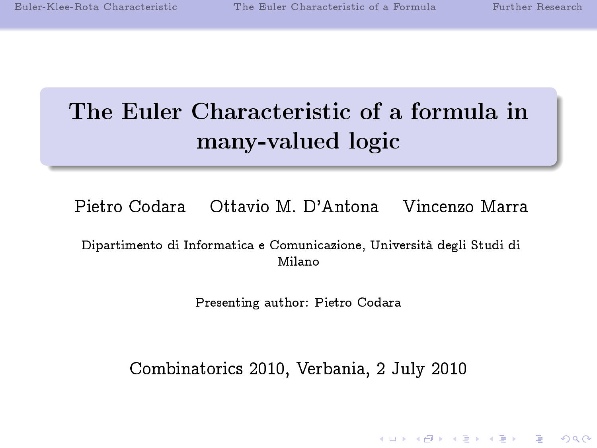**KOD START KED KEN EL VAN** 

# The Euler Characteristic of a formula in many-valued logic

Pietro Codara Ottavio M. D'Antona Vincenzo Marra

Dipartimento di Informatica e Comunicazione, Università degli Studi di Milano

Presenting author: Pietro Codara

Combinatorics 2010, Verbania, 2 July 2010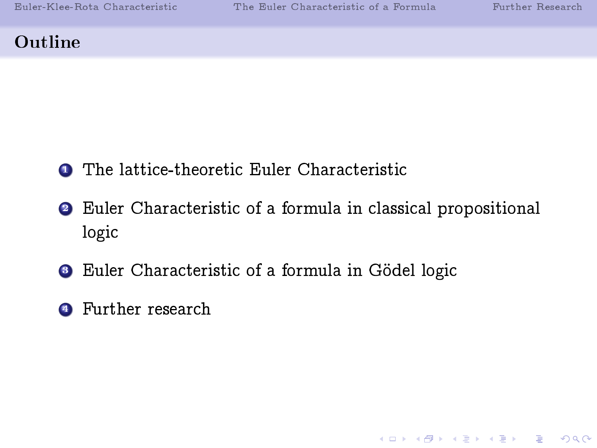**KOR SERVER (ER 1990)** 

# Outline

- **1** The lattice-theoretic Euler Characteristic
- <sup>2</sup> Euler Characteristic of a formula in classical propositional logic
- **3** Euler Characteristic of a formula in Gödel logic
- **4** Further research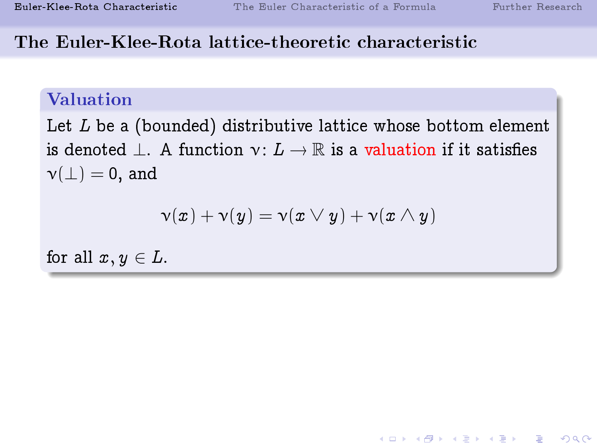### The Euler-Klee-Rota lattice-theoretic characteristic

# Valuation

Let  $L$  be a (bounded) distributive lattice whose bottom element is denoted  $\perp$ . A function  $\nu: L \to \mathbb{R}$  is a valuation if it satisfies  $\nu(\perp) = 0$ , and

$$
\mathsf{v}(x)+\mathsf{v}(y)=\mathsf{v}(x\vee y)+\mathsf{v}(x\wedge y)
$$

<span id="page-2-0"></span>for all  $x, y \in L$ .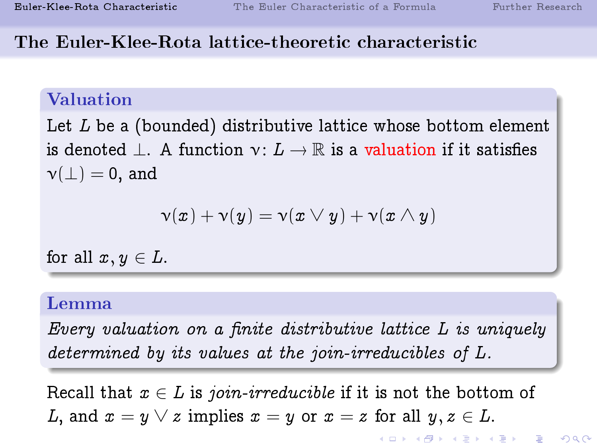-<br>◆ ロ ▶ → 레 ▶ → 로 ▶ → 토 ▶ │ 로 │ ◆) Q (◇

# The Euler-Klee-Rota lattice-theoretic characteristic

# Valuation

Let  $L$  be a (bounded) distributive lattice whose bottom element is denoted  $\perp$ . A function  $\nu: L \to \mathbb{R}$  is a valuation if it satisfies  $\nu(\perp) = 0$ , and

$$
\mathsf{v}(x)+\mathsf{v}(y)=\mathsf{v}(x\vee y)+\mathsf{v}(x\wedge y)
$$

for all  $x, y \in L$ .

# Lemma

Every valuation on a finite distributive lattice  $L$  is uniquely determined by its values at the join-irreducibles of L.

Recall that  $x \in L$  is join-irreducible if it is not the bottom of L, and  $x = y \vee z$  implies  $x = y$  or  $x = z$  for all  $y, z \in L$ .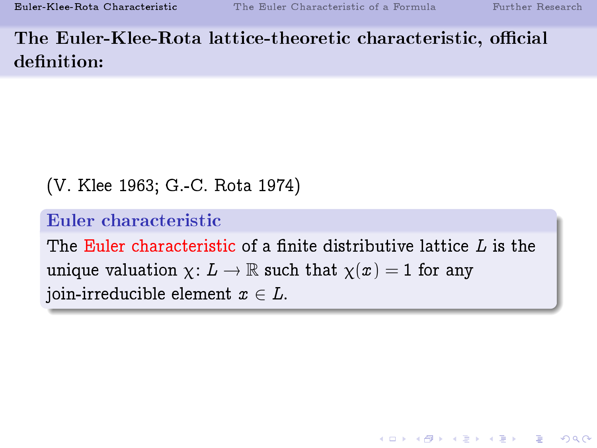The Euler-Klee-Rota lattice-theoretic characteristic, official definition:

```
(V. Klee 1963; G.-C. Rota 1974)
```
# Euler characteristic

The Euler characteristic of a finite distributive lattice  $L$  is the unique valuation  $\chi: L \to \mathbb{R}$  such that  $\chi(x) = 1$  for any join-irreducible element  $x \in L$ .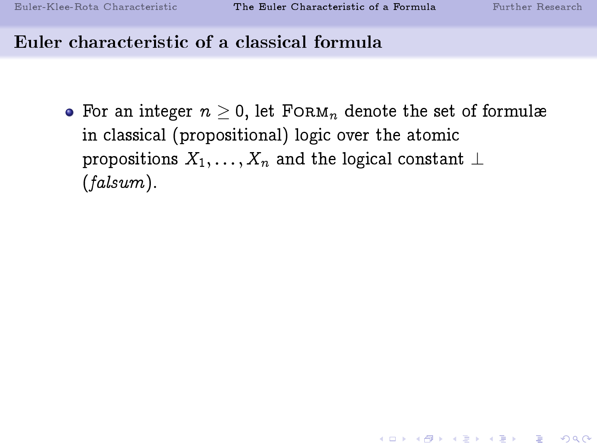**K ロ ▶ K 레 ▶ K 코 ▶ K 코 ▶ 『코』 ◆ 9 Q OK** 

#### Euler characteristic of a classical formula

<span id="page-5-0"></span>• For an integer  $n \geq 0$ , let FORM<sub>n</sub> denote the set of formulæ in classical (propositional) logic over the atomic propositions  $X_1, \ldots, X_n$  and the logical constant  $\perp$ (falsum).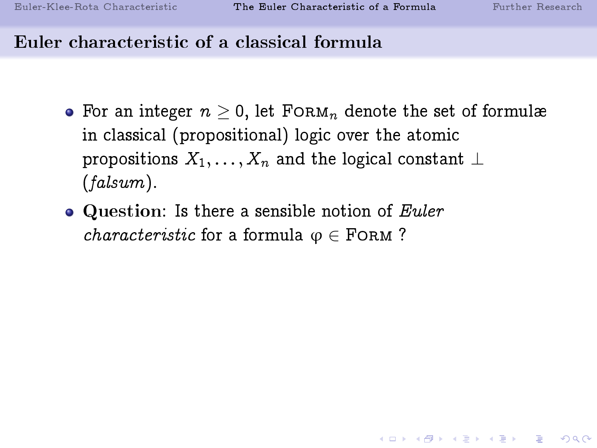**KOR SERVER (ER 1990)** 

- For an integer  $n \geq 0$ , let FORM<sub>n</sub> denote the set of formulæ in classical (propositional) logic over the atomic propositions  $X_1, \ldots, X_n$  and the logical constant  $\perp$ (falsum).
- $\bullet$  Question: Is there a sensible notion of Euler *characteristic* for a formula  $\varphi \in$  FORM ?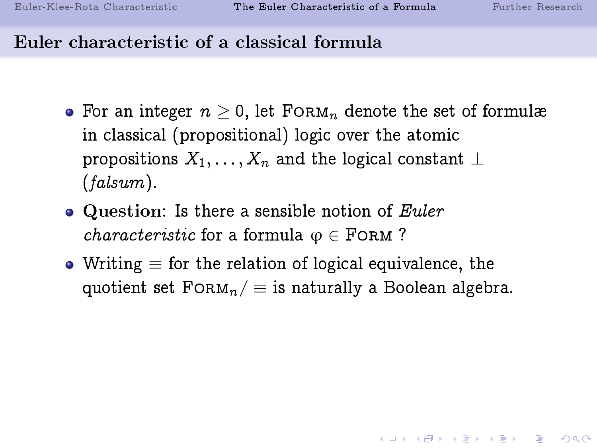- For an integer  $n \geq 0$ , let FORM<sub>n</sub> denote the set of formulæ in classical (propositional) logic over the atomic propositions  $X_1, \ldots, X_n$  and the logical constant  $\perp$ (falsum).
- $\bullet$  Question: Is there a sensible notion of Euler *characteristic* for a formula  $\varphi \in$  FORM?
- Writing  $\equiv$  for the relation of logical equivalence, the quotient set  $F\text{ORM}_n/\equiv$  is naturally a Boolean algebra.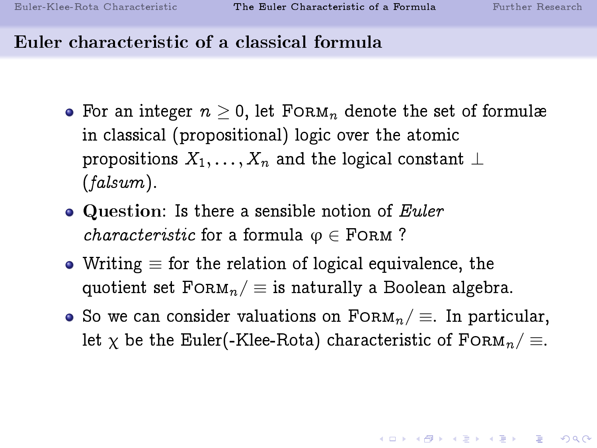- For an integer  $n \geq 0$ , let FORM<sub>n</sub> denote the set of formulæ in classical (propositional) logic over the atomic propositions  $X_1, \ldots, X_n$  and the logical constant  $\perp$ (falsum).
- $\bullet$  Question: Is there a sensible notion of Euler *characteristic* for a formula  $\varphi \in$  FORM?
- Writing  $\equiv$  for the relation of logical equivalence, the quotient set  $FORM_n / \equiv$  is naturally a Boolean algebra.
- So we can consider valuations on  $\text{F} \circ \text{Rm}_n / \equiv$ . In particular, let  $\chi$  be the Euler(-Klee-Rota) characteristic of FORM<sub>n</sub>/  $\equiv$ .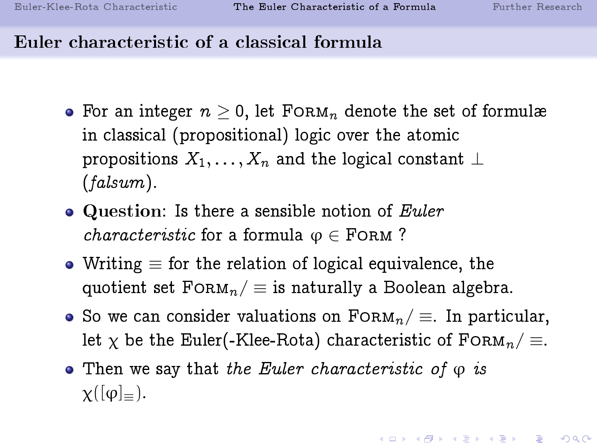- For an integer  $n > 0$ , let FORM<sub>n</sub> denote the set of formulæ in classical (propositional) logic over the atomic propositions  $X_1, \ldots, X_n$  and the logical constant  $\perp$ (falsum).
- $\bullet$  Question: Is there a sensible notion of Euler *characteristic* for a formula  $\varphi \in$  FORM?
- Writing  $\equiv$  for the relation of logical equivalence, the quotient set  $FORM_n / \equiv$  is naturally a Boolean algebra.
- $\bullet$  So we can consider valuations on  $\text{FORM}_n/\equiv$ . In particular, let  $\chi$  be the Euler(-Klee-Rota) characteristic of FORM<sub>n</sub>/  $\equiv$ .
- Then we say that the Euler characteristic of  $\varphi$  is  $\chi([\varphi]_{=})$ .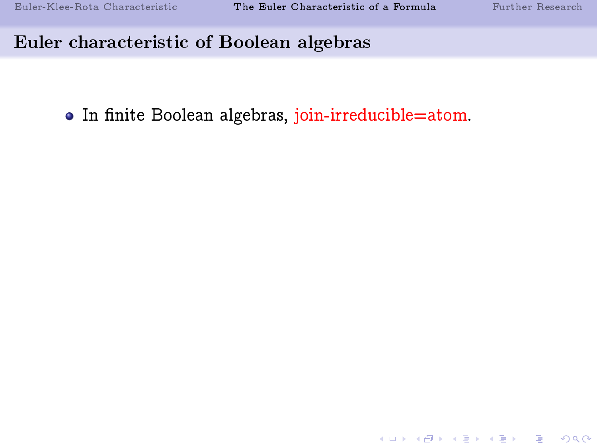K ロ ▶ K 個 ▶ K 할 ▶ K 할 ▶ 이 할 → 900

# Euler characteristic of Boolean algebras

• In finite Boolean algebras, join-irreducible=atom.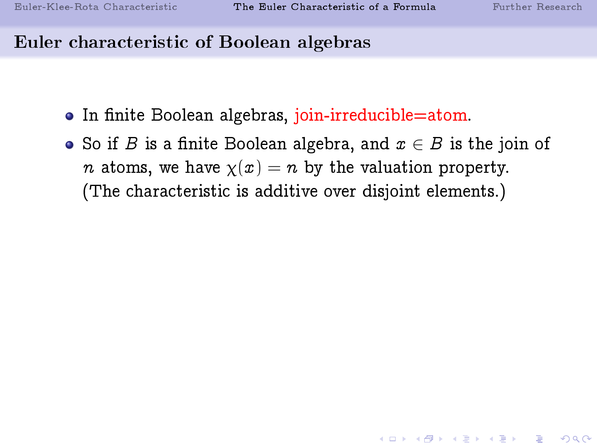#### Euler characteristic of Boolean algebras

- In finite Boolean algebras, join-irreducible=atom.
- So if B is a finite Boolean algebra, and  $x \in B$  is the join of *n* atoms, we have  $\chi(x) = n$  by the valuation property. (The characteristic is additive over disjoint elements.)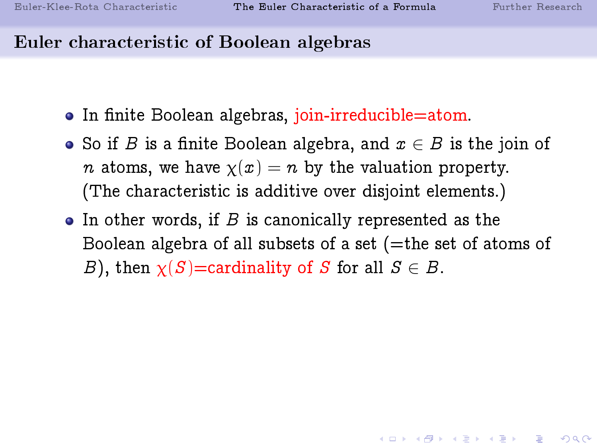#### Euler characteristic of Boolean algebras

- In finite Boolean algebras, join-irreducible=atom.
- So if B is a finite Boolean algebra, and  $x \in B$  is the join of *n* atoms, we have  $\chi(x) = n$  by the valuation property. (The characteristic is additive over disjoint elements.)
- $\bullet$  In other words, if  $B$  is canonically represented as the Boolean algebra of all subsets of a set  $($ =the set of atoms of B), then  $\chi(S)$ =cardinality of S for all  $S \in B$ .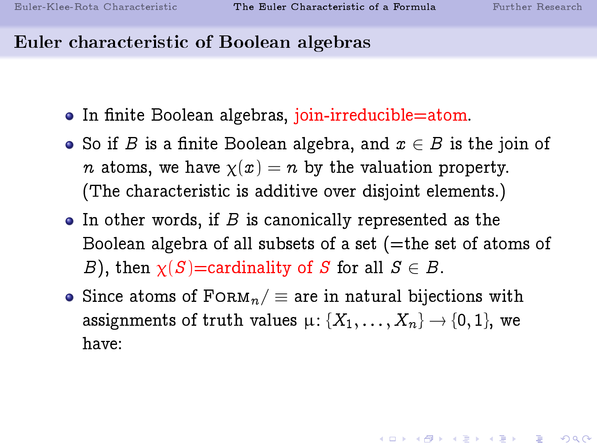### Euler characteristic of Boolean algebras

- In finite Boolean algebras, join-irreducible=atom.
- So if B is a finite Boolean algebra, and  $x \in B$  is the join of *n* atoms, we have  $\chi(x) = n$  by the valuation property. (The characteristic is additive over disjoint elements.)
- $\bullet$  In other words, if  $B$  is canonically represented as the Boolean algebra of all subsets of a set  $($ =the set of atoms of B), then  $\chi(S)$ =cardinality of S for all  $S \in B$ .
- Since atoms of  $F$ ORM $_n$  = are in natural bijections with assignments of truth values  $\mu$ : { $X_1, \ldots, X_n$ }  $\rightarrow$  {0, 1}, we have: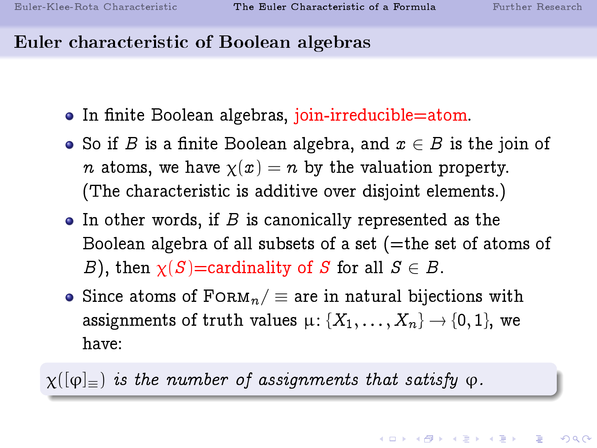# Euler characteristic of Boolean algebras

- In finite Boolean algebras, join-irreducible=atom.
- So if B is a finite Boolean algebra, and  $x \in B$  is the join of *n* atoms, we have  $\chi(x) = n$  by the valuation property. (The characteristic is additive over disjoint elements.)
- $\bullet$  In other words, if  $B$  is canonically represented as the Boolean algebra of all subsets of a set  $($ =the set of atoms of B), then  $\chi(S)$ =cardinality of S for all  $S \in B$ .
- Since atoms of  $F$ ORM $_n$  = are in natural bijections with assignments of truth values  $\mu$ : { $X_1, \ldots, X_n$ }  $\rightarrow$  {0, 1}, we have:

 $\chi([\varphi]_{=})$  is the number of assignments that satisfy  $\varphi$ .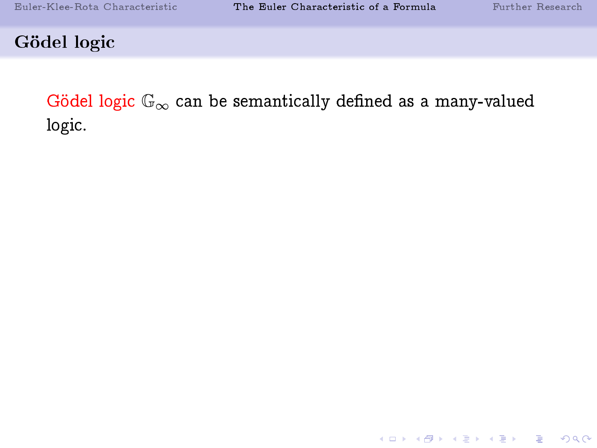K □ ▶ K @ ▶ K 할 ▶ K 할 ▶ 이 할 → 9 Q Q ·

Gödel logic

Gödel logic  $\mathbb{G}_{\infty}$  can be semantically defined as a many-valued logic.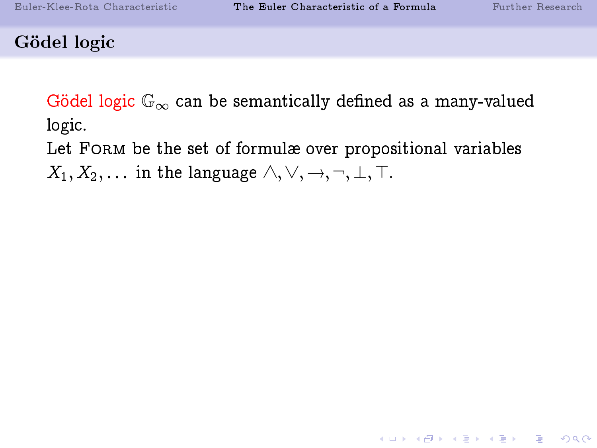K ロ ▶ K 個 ▶ K 할 ▶ K 할 ▶ 이 할 → 900

#### Gödel logic

Gödel logic  $\mathbb{G}_{\infty}$  can be semantically defined as a many-valued logic.

Let FORM be the set of formulæ over propositional variables

 $X_1, X_2, \ldots$  in the language  $\wedge, \vee, \rightarrow, \neg, \bot, \top$ .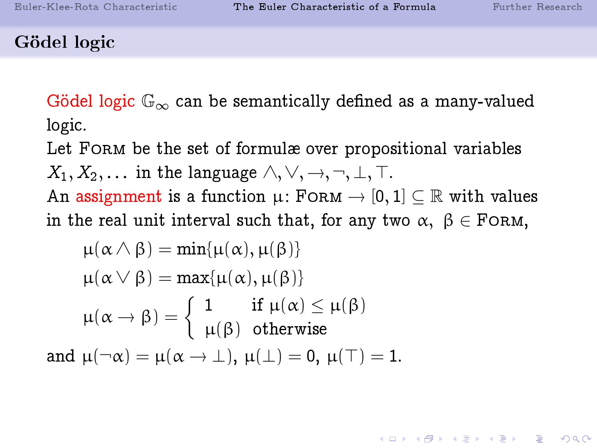#### Gödel logic

Gödel logic  $\mathbb{G}_{\infty}$  can be semantically defined as a many-valued logic.

Let FORM be the set of formulæ over propositional variables  $X_1, X_2, \ldots$  in the language  $\wedge, \vee, \rightarrow, \neg, \perp, \top$ .

An assignment is a function  $\mu$ : FORM  $\rightarrow$  [0, 1]  $\subseteq \mathbb{R}$  with values in the real unit interval such that, for any two  $\alpha, \beta \in$  FORM,

$$
\mu(\alpha \wedge \beta) = \min{\mu(\alpha), \mu(\beta)}
$$

$$
\mu(\alpha \vee \beta) = \max{\mu(\alpha), \mu(\beta)}
$$

$$
\mu(\alpha \rightarrow \beta) = \begin{cases} 1 & \text{if } \mu(\alpha) \le \mu(\beta) \\ \mu(\beta) & \text{otherwise} \end{cases}
$$
and 
$$
\mu(\neg \alpha) = \mu(\alpha \rightarrow \bot), \mu(\bot) = 0, \mu(\top) = 1.
$$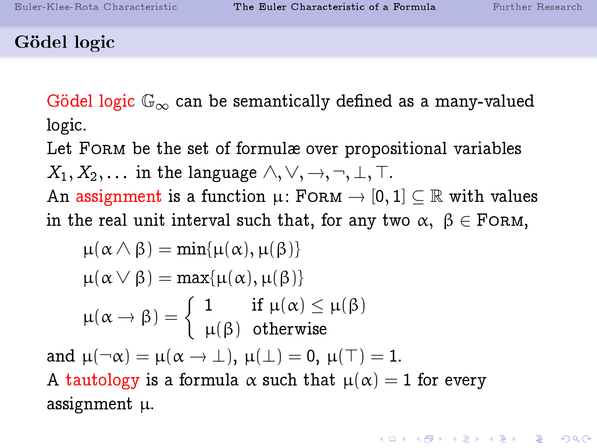**KOR SERVER (ER 1990)** 

#### Gödel logic

Gödel logic  $\mathbb{G}_{\infty}$  can be semantically defined as a many-valued logic.

Let FORM be the set of formulæ over propositional variables  $X_1, X_2, \ldots$  in the language  $\wedge, \vee, \rightarrow, \neg, \perp, \top$ .

An assignment is a function  $\mu$ : FORM  $\rightarrow$  [0, 1]  $\subseteq \mathbb{R}$  with values in the real unit interval such that, for any two  $\alpha, \beta \in$  FORM,

$$
\mu(\alpha \wedge \beta) = \min{\mu(\alpha), \mu(\beta)}
$$
  
\n
$$
\mu(\alpha \vee \beta) = \max{\mu(\alpha), \mu(\beta)}
$$
  
\n
$$
\mu(\alpha \rightarrow \beta) = \begin{cases} 1 & \text{if } \mu(\alpha) \leq \mu(\beta) \\ \mu(\beta) & \text{otherwise} \end{cases}
$$
  
\nand 
$$
\mu(\neg \alpha) = \mu(\alpha \rightarrow \bot), \mu(\bot) = 0, \mu(\top) = 1.
$$
  
\nA tautology is a formula  $\alpha$  such that  $\mu(\alpha) = 1$  for every assignment  $\mu$ .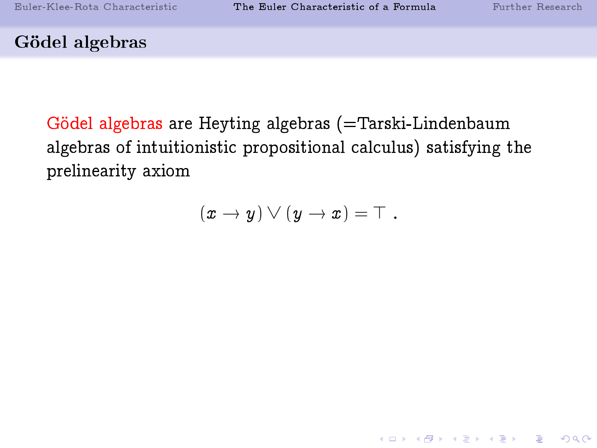K ロ ▶ K 個 ▶ K 할 ▶ K 할 ▶ 이 할 → 900

# Gödel algebras

Gödel algebras are Heyting algebras (=Tarski-Lindenbaum algebras of intuitionistic propositional calculus) satisfying the prelinearity axiom

$$
(x \to y) \vee (y \to x) = \top.
$$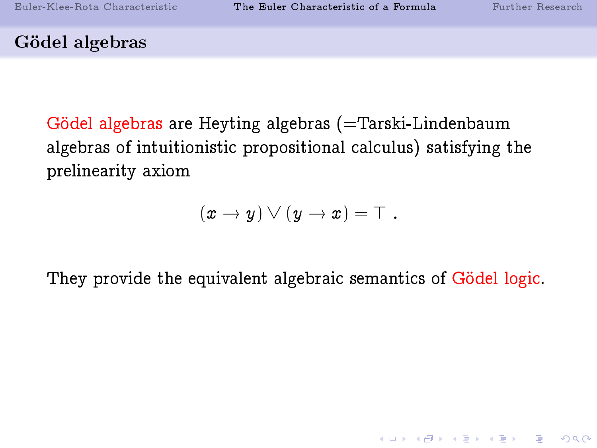K ロ ▶ K 個 ▶ K 할 ▶ K 할 ▶ 이 할 → 900

#### Gödel algebras

Gödel algebras are Heyting algebras (=Tarski-Lindenbaum algebras of intuitionistic propositional calculus) satisfying the prelinearity axiom

$$
(x \to y) \vee (y \to x) = \top.
$$

They provide the equivalent algebraic semantics of Gödel logic.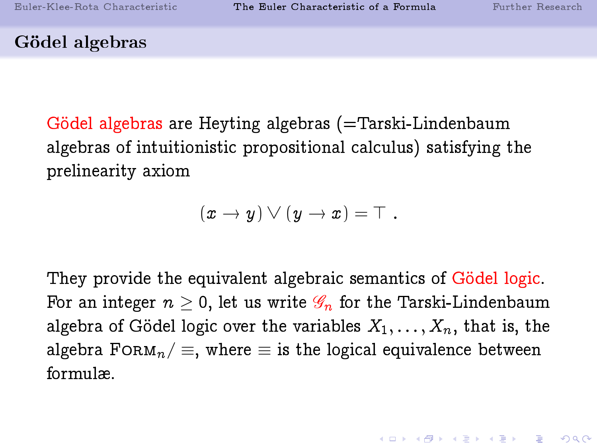#### Gödel algebras

Gödel algebras are Heyting algebras (=Tarski-Lindenbaum algebras of intuitionistic propositional calculus) satisfying the prelinearity axiom

$$
(x \to y) \vee (y \to x) = \top.
$$

They provide the equivalent algebraic semantics of Gödel logic. For an integer  $n \geq 0$ , let us write  $\mathscr{G}_n$  for the Tarski-Lindenbaum algebra of Gödel logic over the variables  $X_1, \ldots, X_n$ , that is, the algebra FORM<sub>n</sub> /  $\equiv$ , where  $\equiv$  is the logical equivalence between formulæ.

**A DIA 4 B A DIA A B A DIA 4 DIA A DIA B**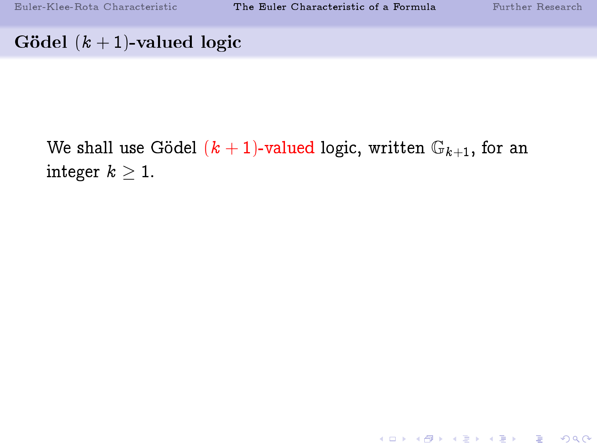K ロ ▶ K 레 ▶ K 코 ▶ K 코 ▶ 『코 │ ◆ 9 Q ⊙

# Gödel  $(k + 1)$ -valued logic

We shall use Gödel  $(k + 1)$ -valued logic, written  $\mathbb{G}_{k+1}$ , for an integer  $k \geq 1$ .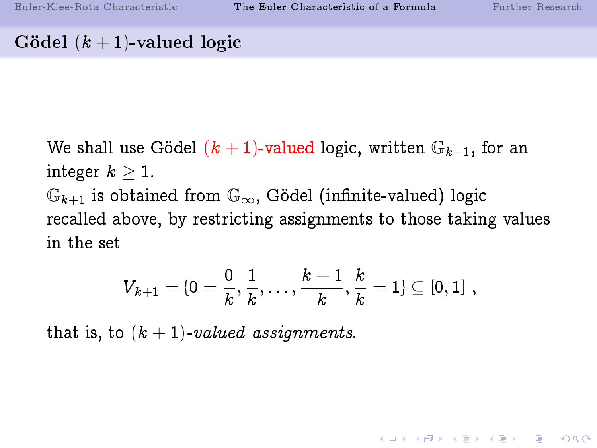# Gödel  $(k + 1)$ -valued logic

We shall use Gödel  $(k + 1)$ -valued logic, written  $\mathbb{G}_{k+1}$ , for an integer  $k \geq 1$ .  $\mathbb{G}_{k+1}$  is obtained from  $\mathbb{G}_{\infty}$ , Gödel (infinite-valued) logic recalled above, by restricting assignments to those taking values in the set

$$
V_{k+1} = \{0 = \frac{0}{k}, \frac{1}{k}, \ldots, \frac{k-1}{k}, \frac{k}{k} = 1\} \subseteq [0,1] \; ,
$$

that is, to  $(k + 1)$ -valued assignments.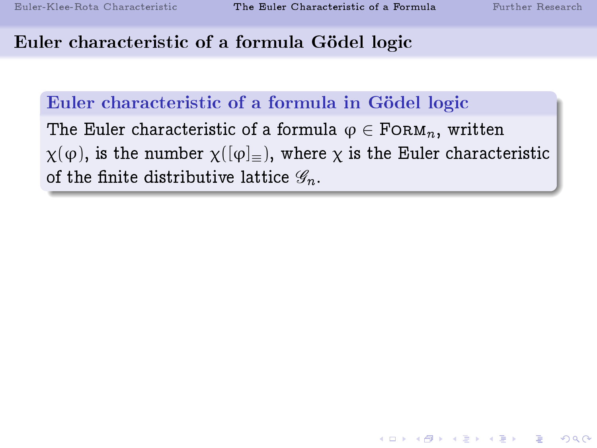# Euler characteristic of a formula Gödel logic

#### Euler characteristic of a formula in Gödel logic

The Euler characteristic of a formula  $\varphi \in \text{FORM}_n$ , written  $\chi(\varphi)$ , is the number  $\chi([\varphi]_{\equiv})$ , where  $\chi$  is the Euler characteristic of the finite distributive lattice  $\mathscr{G}_n$ .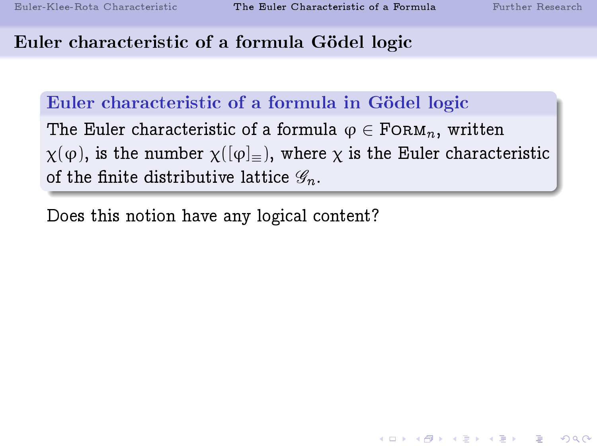# Euler characteristic of a formula Gödel logic

# Euler characteristic of a formula in Gödel logic

The Euler characteristic of a formula  $\varphi \in \text{FORM}_n$ , written  $\chi(\varphi)$ , is the number  $\chi([\varphi]_{\equiv})$ , where  $\chi$  is the Euler characteristic of the finite distributive lattice  $\mathscr{G}_n$ .

Does this notion have any logical content?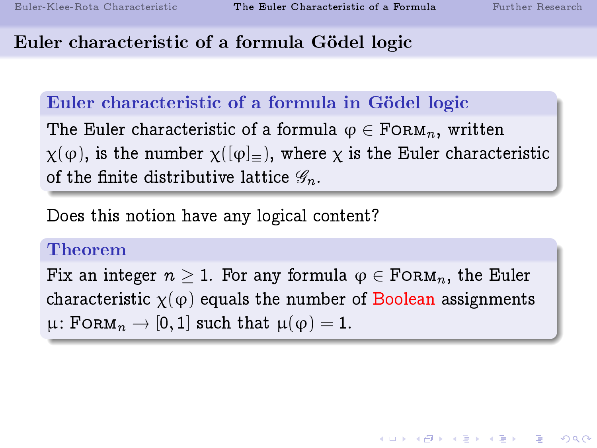# Euler characteristic of a formula Gödel logic

# Euler characteristic of a formula in Gödel logic

The Euler characteristic of a formula  $\varphi \in \text{FORM}_n$ , written  $\chi(\varphi)$ , is the number  $\chi([\varphi]_{=})$ , where  $\chi$  is the Euler characteristic of the finite distributive lattice  $\mathscr{G}_n$ .

Does this notion have any logical content?

#### Theorem

Fix an integer  $n > 1$ . For any formula  $\varphi \in \text{F} \circ \text{R}_{n}$ , the Euler characteristic  $\chi(\varphi)$  equals the number of Boolean assignments  $\mu$ : FORM $_n \to [0, 1]$  such that  $\mu(\varphi) = 1$ .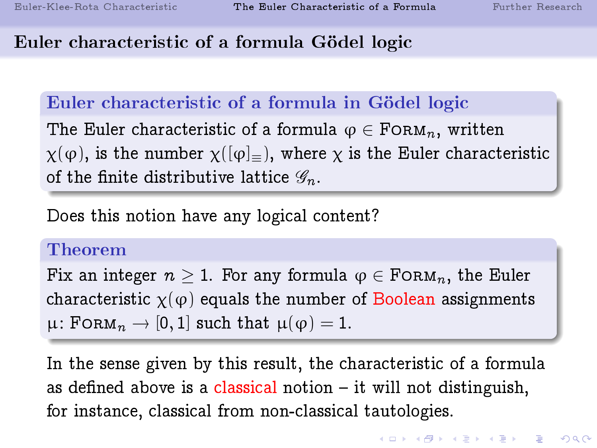# Euler characteristic of a formula Gödel logic

# Euler characteristic of a formula in Gödel logic

The Euler characteristic of a formula  $\varphi \in \text{FORM}_n$ , written  $\chi(\varphi)$ , is the number  $\chi([\varphi]_{=})$ , where  $\chi$  is the Euler characteristic of the finite distributive lattice  $\mathscr{G}_n$ .

Does this notion have any logical content?

#### Theorem

Fix an integer  $n > 1$ . For any formula  $\varphi \in \text{F} \circ \text{R}_{n}$ , the Euler characteristic  $\chi(\varphi)$  equals the number of Boolean assignments  $\mu$ : FORM $_n \to [0, 1]$  such that  $\mu(\varphi) = 1$ .

In the sense given by this result, the characteristic of a formula as defined above is a classical notion  $-$  it will not distinguish, for instance, classical from non-classical tautologies.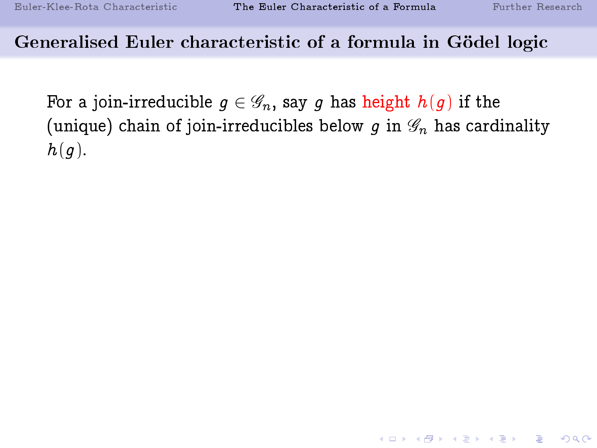K ロ ▶ K 個 ▶ K 할 ▶ K 할 ▶ 이 할 → 900

# Generalised Euler characteristic of a formula in Gödel logic

For a join-irreducible  $q \in \mathscr{G}_n$ , say g has height  $h(q)$  if the (unique) chain of join-irreducibles below q in  $\mathscr{G}_n$  has cardinality  $h(q)$ .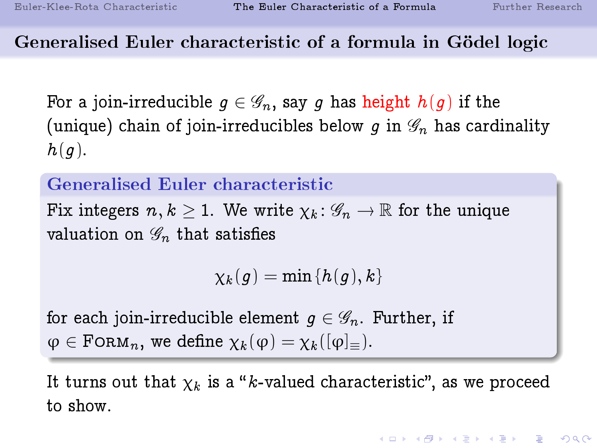# Generalised Euler characteristic of a formula in Gödel logic

For a join-irreducible  $q \in \mathscr{G}_n$ , say q has height  $h(q)$  if the (unique) chain of join-irreducibles below q in  $\mathscr{G}_n$  has cardinality  $h(q)$ .

#### Generalised Euler characteristic

Fix integers  $n, k > 1$ . We write  $\chi_k : \mathscr{G}_n \to \mathbb{R}$  for the unique valuation on  $\mathscr{G}_n$  that satisfies

 $\chi_k(q) = \min\{h(q),k\}$ 

for each join-irreducible element  $g \in \mathscr{G}_n$ . Further, if  $\varphi \in \text{FoRM}_n$ , we define  $\chi_k(\varphi) = \chi_k([\varphi]_*)$ .

It turns out that  $\chi_k$  is a "k-valued characteristic", as we proceed to show.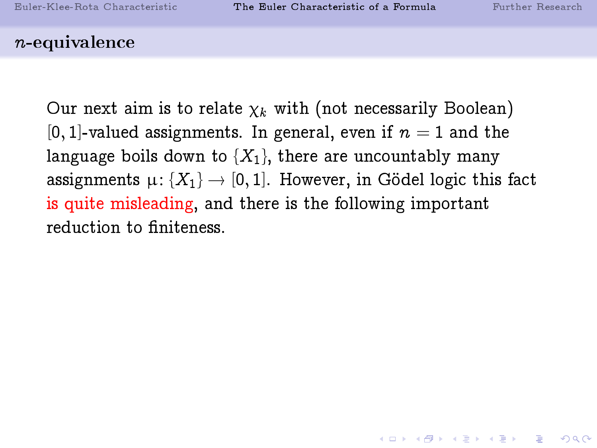#### n-equivalence

Our next aim is to relate  $\chi_k$  with (not necessarily Boolean) [0, 1]-valued assignments. In general, even if  $n = 1$  and the language boils down to  $\{X_1\}$ , there are uncountably many assignments  $\mu: \{X_1\} \to [0, 1]$ . However, in Gödel logic this fact is quite misleading, and there is the following important reduction to finiteness.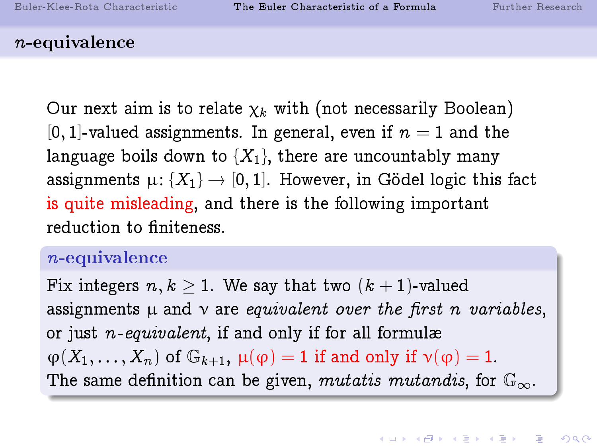#### n-equivalence

Our next aim is to relate  $\chi_k$  with (not necessarily Boolean) [0, 1]-valued assignments. In general, even if  $n = 1$  and the language boils down to  $\{X_1\}$ , there are uncountably many assignments  $\mu: \{X_1\} \to [0, 1]$ . However, in Gödel logic this fact is quite misleading, and there is the following important reduction to finiteness.

#### n-equivalence

Fix integers  $n, k \geq 1$ . We say that two  $(k + 1)$ -valued assignments  $\mu$  and  $\nu$  are *equivalent over the first n variables*, or just  $n$ -equivalent, if and only if for all formulæ  $\varphi(X_1,\ldots,X_n)$  of  $\mathbb{G}_{k+1}$ ,  $\mu(\varphi)=1$  if and only if  $\nu(\varphi)=1$ . The same definition can be given, mutatis mutandis, for  $\mathbb{G}_{\infty}$ .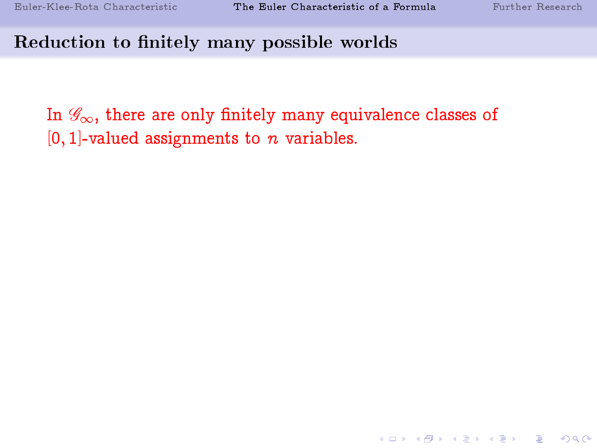#### Reduction to finitely many possible worlds

In  $\mathscr{G}_{\infty}$ , there are only finitely many equivalence classes of  $[0, 1]$ -valued assignments to *n* variables.

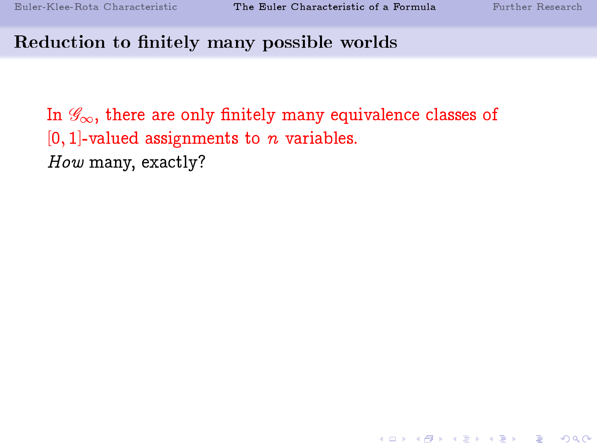**KOR SERVER (ER 1990)** 

#### Reduction to finitely many possible worlds

In  $\mathscr{G}_{\infty}$ , there are only finitely many equivalence classes of  $[0, 1]$ -valued assignments to *n* variables. How many, exactly?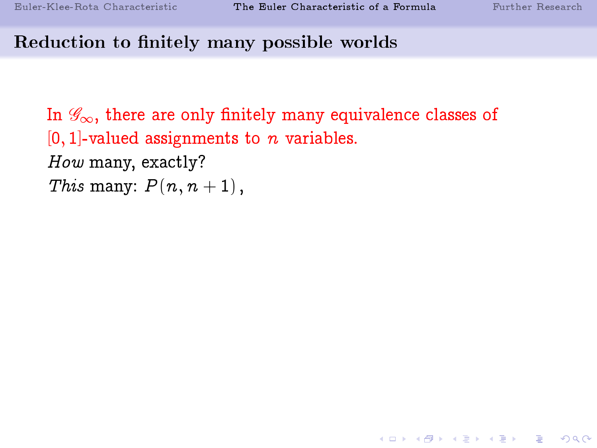**KOR SERVER (ER 1990)** 

#### Reduction to finitely many possible worlds

In  $\mathscr{G}_{\infty}$ , there are only finitely many equivalence classes of  $[0, 1]$ -valued assignments to *n* variables. How many, exactly? This many:  $P(n, n + 1)$ ,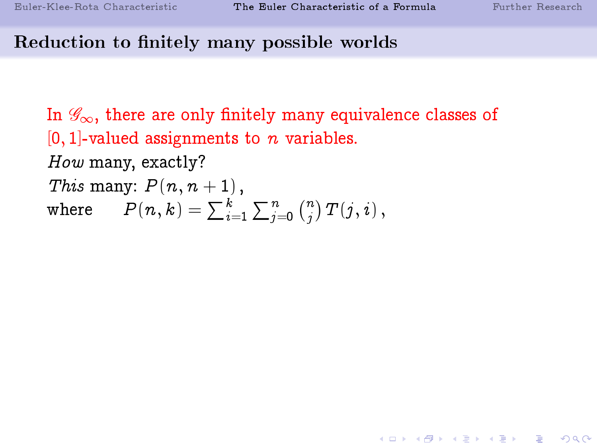# Reduction to finitely many possible worlds

In  $\mathscr{G}_{\infty}$ , there are only finitely many equivalence classes of  $[0, 1]$ -valued assignments to n variables. How many, exactly? This many:  $P(n, n + 1)$ , where  $P(n,k)=\sum_{i=1}^k\sum_{j=0}^n\binom{n}{j}$  $\binom{n}{j}\,T\!\left(j,i\right),$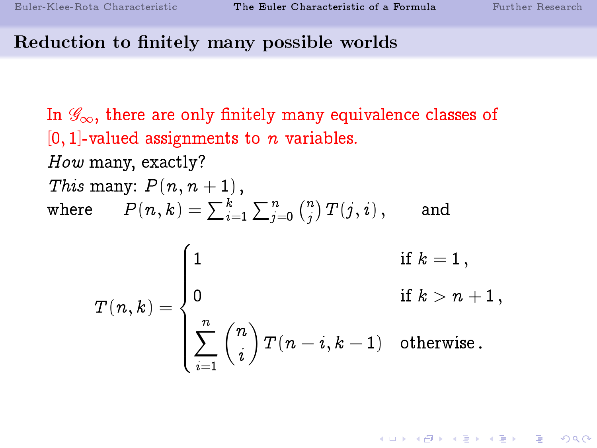# Reduction to finitely many possible worlds

In  $\mathscr{G}_{\infty}$ , there are only finitely many equivalence classes of  $[0, 1]$ -valued assignments to n variables. How many, exactly? This many:  $P(n, n + 1)$ , where  $P(n,k)=\sum_{i=1}^k\sum_{j=0}^n\binom{n}{j}$  $\binom{n}{j}\,T\!\left(j,i\right),\qquad \text{and}$ 

$$
T(n,k) = \begin{cases} 1 & \text{if } k = 1\,,\\ 0 & \text{if } k > n+1\,,\\ \sum_{i=1}^n \binom{n}{i}\,T(n-i,k-1) & \text{otherwise}\,. \end{cases}
$$

**KOR & KERKER ADA KON**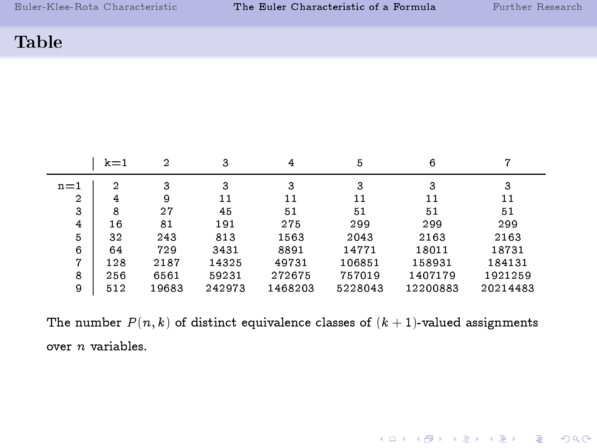K □ ▶ K @ ▶ K 할 X K 할 X 및 할 X 9 Q Q ·

#### Table

|                | $k=1$ | $\overline{2}$ | 3      | 4       | 5       | 6        |          |
|----------------|-------|----------------|--------|---------|---------|----------|----------|
| $n=1$          | 2     | 3              | 3      | 3       | 3       | 3        | 3        |
| $\overline{2}$ | 4     | 9              | 11     | 11      | 11      | 11       | 11       |
| 3              | 8     | 27             | 45     | 51      | 51      | 51       | 51       |
| 4              | 16    | 81             | 191    | 275     | 299     | 299      | 299      |
| 5              | 32    | 243            | 813    | 1563    | 2043    | 2163     | 2163     |
| 6              | 64    | 729            | 3431   | 8891    | 14771   | 18011    | 18731    |
| 7              | 128   | 2187           | 14325  | 49731   | 106851  | 158931   | 184131   |
| 8              | 256   | 6561           | 59231  | 272675  | 757019  | 1407179  | 1921259  |
| 9              | 512   | 19683          | 242973 | 1468203 | 5228043 | 12200883 | 20214483 |

The number  $P(n, k)$  of distinct equivalence classes of  $(k + 1)$ -valued assignments over n variables.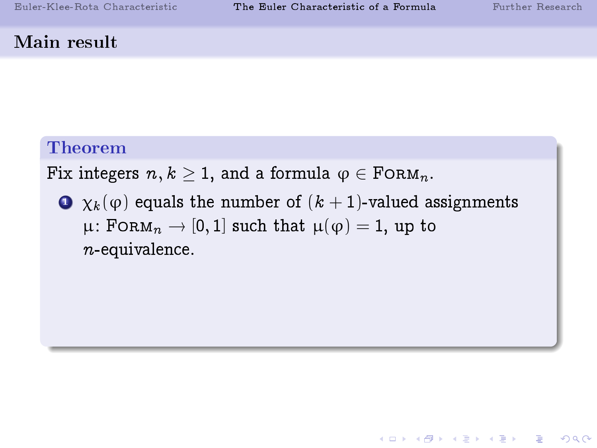K □ ▶ K ● K K X B X X B X B X X Q Q Q Q

# Main result

# Theorem

Fix integers  $n, k \geq 1$ , and a formula  $\varphi \in \text{FoRM}_n$ .

 $\bullet$   $\chi_k(\varphi)$  equals the number of  $(k+1)$ -valued assignments  $\mu$ : FORM<sub>n</sub>  $\rightarrow$  [0, 1] such that  $\mu(\varphi) = 1$ , up to  $n$ -equivalence.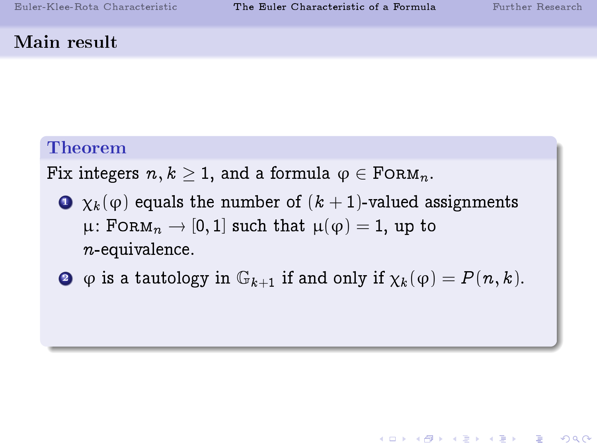**A DIA K RIA K E A K RIA K L A SA K A L A SA CA** 

# Main result

# Theorem

Fix integers  $n, k \geq 1$ , and a formula  $\varphi \in \text{FoRM}_n$ .

- $\bullet$   $\chi_k(\varphi)$  equals the number of  $(k+1)$ -valued assignments  $\mu$ : FORM<sub>n</sub>  $\rightarrow$  [0, 1] such that  $\mu(\varphi) = 1$ , up to  $n$ -equivalence.
- $\bullet$   $\phi$  is a tautology in  $\mathbb{G}_{k+1}$  if and only if  $\chi_k(\phi) = P(n, k)$ .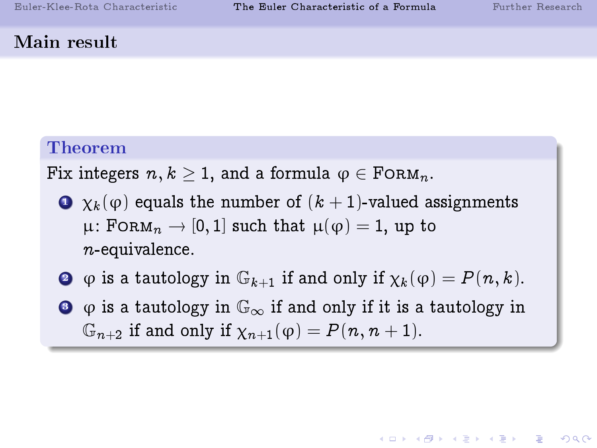#### Main result

# Theorem

Fix integers  $n, k \geq 1$ , and a formula  $\varphi \in \text{FoRM}_n$ .

- $\bullet$   $\chi_{k}(\varphi)$  equals the number of  $(k+1)$ -valued assignments  $\mu$ : FORM $_n \to [0, 1]$  such that  $\mu(\varphi) = 1$ , up to  $n$ -equivalence.
- $\bullet$   $\varphi$  is a tautology in  $\mathbb{G}_{k+1}$  if and only if  $\chi_k(\varphi) = P(n, k)$ .
- $\bullet$   $\varphi$  is a tautology in  $\mathbb{G}_{\infty}$  if and only if it is a tautology in  $\mathbb{G}_{n+2}$  if and only if  $\chi_{n+1}(\varphi) = P(n, n+1)$ .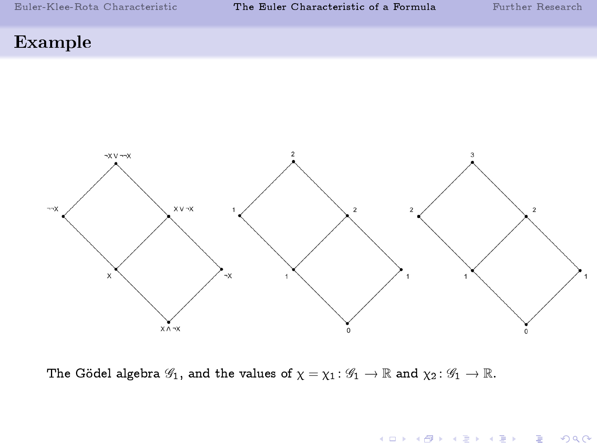# Example



The Gödel algebra  $\mathscr{G}_1$ , and the values of  $\chi = \chi_1 : \mathscr{G}_1 \to \mathbb{R}$  and  $\chi_2 : \mathscr{G}_1 \to \mathbb{R}$ .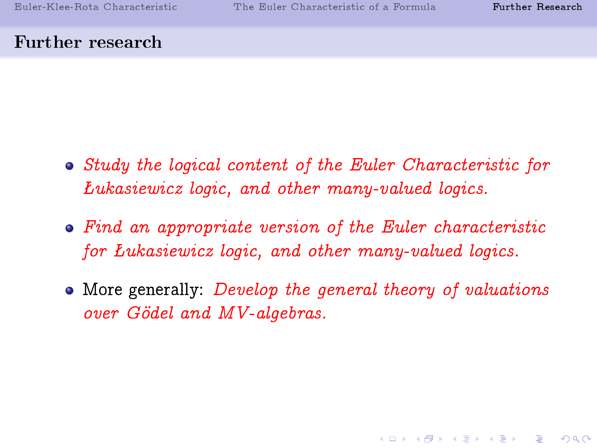KID KAP KID KID I DAG

#### Further research

- Study the logical content of the Euler Characteristic for ukasiewicz logic, and other many-valued logics.
- Find an appropriate version of the Euler characteristic for Lukasiewicz logic, and other many-valued logics.
- <span id="page-42-0"></span>• More generally: *Develop the general theory of valuations* over Gödel and MV-algebras.